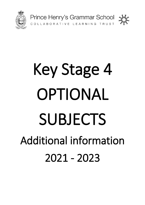



# Key Stage 4 OPTIONAL **SUBJECTS** Additional information 2021 - 2023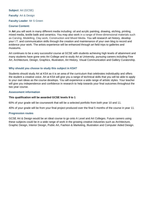**Subject**: Art (GCSE) **Faculty**: Art & Design **Faculty Leader**: Mr S Green

# **Course Content:**

In **Art** you will work in many different media including: oil and acrylic painting, drawing, etching, printing, mixed media, textile batik and ceramics. You may also work in a range of three-dimensional materials such as Carving, Modelling, Clay work, Construction and Mixed Media. You will research art history, develop your I.T. and communication skills through the creation and maintenance of your own blog to record and evidence your work. The artists experience will be enhanced through art field trips to galleries and museums.

Art continues to be a very successful course at GCSE with students achieving high levels of attainment and many students have gone onto Art College and to study Art at University, pursuing careers including Fine Art, Architecture, Design, Graphics, Illustration, Art History, Visual Communication and Gallery Curatorship.

# **Why should you choose to study this subject in KS4?**

Students should study Art at KS4 as it is an area of the curriculum that celebrates individuality and offers the student a creative voice. Art at KS4 will give you a range of technical skills that you will be able to apply to your own ideas as the course develops. You will experience a wide range of artistic styles. Your teacher will give you independence and confidence in research to help towards your final outcomes throughout the two year course.

# **Assessment information**

# **This qualification will be awarded GCSE levels 9 to 1**

60% of your grade will be coursework that will be a selected portfolio from both year 10 and 11.

40% of your grade will be from your final project produced over the final 5 months of the course in year 11.

# **Progression routes**

GCSE Art & Design would be an ideal course to go onto A Level and Art Colleges. Future careers using these subjects could be in a wide range of work in the growing creative industries such as Architecture, Graphic Design, Interior Design, Public Art, Fashion & Marketing, Illustration and Computer Aided Design.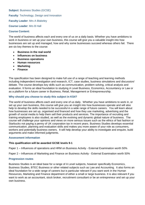**Subject**: Business Studies (GCSE)

**Faculty: Technology, Design and Innovation** 

**Faculty Leader**: Mrs A Blakeley

**Course Leader**: Mrs B Hall

# **Course Content:**

The world of business affects each and every one of us on a daily basis. Whether you have ambitions to work in business or set up your own business, this course will give you a valuable insight into how businesses are set up and managed, how and why some businesses succeed whereas others fail. There are six key themes to the course:

- **Business in the real world**
- **Influences on business**
- **Business operations**
- **Human resources**
- **Marketing**
- **Finance**

The specification has been designed to make full use of a range of teaching and learning methods including independent investigation and research, ICT, case studies, business simulations and discussion/ debate. The course develops key skills such as communication, problem solving, critical analysis and evaluation. It forms an ideal foundation to studying A Level Business, Economics, Accountancy or Law or as a platform for a future career in Business, Retail, Management or Entrepreneurship.

# **Why should you choose to study this subject in KS4?**

The world of business affects each and every one of us daily. Whether you have ambitions to work in, or set up your own business, this course will give you an insight into how businesses operate and will also help to develop the skills needed to be successful in a wide range of future careers. You will learn about how businesses are set up, organised and financed and how they use marketing, advertising and the growth of social media to help them sell their products and services. The importance of recruiting and training employees is also studied, as well as the evolving and dynamic global nature of business. The course will challenge your opinions and views on more serious issues such as the ethics of fast fashion or Starbucks not paying a penny of UK corporation tax in recent years. Business Studies develops essential communication, planning and evaluation skills and makes you more aware of your role as consumers, workers and potentially business owners. It will help develop your ability to investigate and enquire, build arguments and make informed judgments.

# **Assessment information**

# **This qualification will be awarded GCSE levels 9-1**

Paper 1 – Influences of operations and HRM on Business Activity - External Examination worth 50%

Paper 2 – Influences of Marketing and Finance on Business Activity - External Examination worth 50%

# **Progression routes**

Business Studies is an ideal base for a range of A Level subjects, however specifically Economics, Business Studies, BTEC Business or other related subjects such as Law and Accounting. It also forms an ideal foundation for a wide range of careers but is particular relevant if you want work in the Human Resources, Marketing and Finance department of either a small or large business. It is also relevant if you want to work as an accountant, stock broker, recruitment consultant or be an entrepreneur and set up your own business.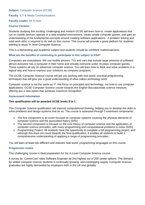**Subject**: Computer Science (GCSE)

# **Faculty**: ICT & Media Communications

# **Faculty Leader**: Mr S Hunt

# **Course Content:**

Students studying this exciting, challenging and modern GCSE will learn how to: create applications that run on mobile devices; operate in a web-enabled environment; create simple computer games, and gain an understanding of the fundamental concepts around creating software applications. A problem solving and solid work ethic is required to do well on this course. This course will provide a great platform for students wishing to study 'A' level Computer Science.

This is a demanding and academic subject and students should be confident mathematicians.

# **What are the benefits of continuing to participate in this subject in KS4?**

Computers are everywhere. We use mobile phones, TVs and cars that include large amounts of software; almost everyone has a computer in their home and virtually everyone under 30 plays computer games. These systems all rely on advanced computer science. You will learn how to think and solve problems in a logical way and how to express your solutions as computer programs.

The GCSE Computer Science course will get you working with real-world, practical programming techniques that will give you a good understanding of what makes technology work.

Computer science is not the same as IT. We focus on principles and technology, not how to use computer applications. GCSE Computer Science counts towards the English Baccalaureate science measure, offering you a new option that achieves maximum recognition.

# **Assessment information**

# **This qualification will be awarded GCSE levels 9 to 1**

This Computer Science qualification will improve computational thinking, helping you to develop the skills to solve problems and design systems that do so. The course is assessed through 2 examined components:

- $\triangleright$  The first component is an exam focused on computer systems covering the physical elements of computer science and the associated theory (50%)
- $\triangleright$  The second component is focused on the core theory of computer science and the application of computer science principles, with many programming and computational problems to solve (50%)
- $\triangleright$  Programming Project: All students have the opportunity to complete a full programming project, and although this does not count towards the final qualification, it enables all students to build a comprehensive understanding of applying a range of programming principles.

You will learn at least two different and relevant 'real-world' programming languages on this course.

# **Progression routes**

This challenging course is ideal preparation for the A-Level Computer Science course.

A survey by '*CareerCast*' rates Software Engineer as 2nd highest out of 200 career options. The demand for skilled computer science students is continually growing, and outstripping supply. Computer Science graduates are highly demanded by employers both in the UK and globally.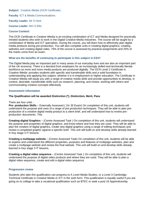**Subject**: Creative iMedia (OCR Certificate)

**Faculty**: ICT & Media Communications

# **Faculty Leader**: Mr S Hunt

# **Course Leader**: Mrs S Ellis

# **Course Content:**

The OCR Certificate in Creative iMedia is an exciting combination of ICT and Media designed for practically minded students who wish to work in the Digital Creative Media Industries. The course will be taught by a combination of Media and ICT specialists. During the course, you will learn how to effectively plan digital media products during pre-production. You will also complete units in creating digital graphics, creating websites and creating digital video. 75% of the course is assessed by practical assignments and 25% of the marks come from an exam.

# **What are the benefits of continuing to participate in this subject in KS4?**

The Digital Media play an important part in many areas of our everyday lives and are also an important part of the UK economy. There is a demand from employers for an increasingly skilled and technically literate workforce as more and more media products are produced digitally. The OCR Level 2 Certificate in Creative iMedia provides students with specific and transferable skills and a solid foundation in understanding and applying this subject, whether it is in employment or higher education. The Certificate in Creative iMedia will equip you with a range of creative media skills and provide opportunities to develop, in context, desirable, transferable skills such as research, planning, and review, working with others and communicating creative concepts effectively

# **Assessment information**

# **The Qualification will be awarded Distinction (\*), Distinction, Merit, Pass**

#### There are four units :

**Pre- production Skills** – Externally Assessed ( 1hr 30 Exam) On completion of this unit, students will understand the purpose and uses of a range of pre-production techniques. They will be able to plan preproduction of a creative digital media product to a client brief, and will understand how to review preproduction documents. This

**Creating digital Graphics** – (Centre Assessed Task ) On completion of this unit, students will understand the purpose and properties of digital graphics, and know where and how they are used. They will be able to plan the creation of digital graphics, create new digital graphics using a range of editing techniques and review a completed graphic against a specific brief. This unit will build on and develop skills already learned in Key stage 3 IT lessons.

**Creating a multipage website** – (Centre Assessed Task) On completion of this unit, students will be able to explore and understand the different properties, purposes and features of multipage websites, plan and create a multipage website and review the final website. This unit will build on and develop skills already learned in Key stage 3 IT lessons.

**Creating a digital video sequence** – (Centre Assessed Task ) On completion of this unit, students will understand the purpose of digital video products and where they are used. They will be able to plan a digital video sequence, create and edit a digital video sequence

# **Progression routes**

Students who take this qualification can progress to A Level Media Studies, or a Level 3 Cambridge Technical Certificate in Creative Media or ICT in the sixth form. This qualification is equally useful if you are going on to college to take a vocational qualification such as BTEC or seek a post 16 Apprenticeship.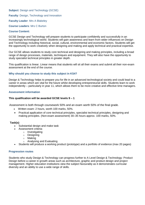# **Subject: Design and Technology (GCSE)**

**Faculty: Design, Technology and Innovation** 

**Faculty Leader**: Mrs A Blakeley

#### **Course Leaders**: Mrs C Burton

#### **Course Content:**

GCSE Design and Technology will prepare students to participate confidently and successfully in an increasingly technological world. Students will gain awareness and learn from wider influences on Design and Technology including historical, social, cultural, environmental and economic factors. Students will get the opportunity to work creatively when designing and making and apply technical and practical expertise.

Our GCSE allows students to study core technical and designing and making principles, including a broad range of design processes, materials, techniques and equipment. They will also have the opportunity to study specialist technical principles in greater depth.

This qualification is linear. Linear means that students will sit all their exams and submit all their non-exam assessment at the end of the course.

# **Why should you choose to study this subject in KS4?**

Design & Technology helps to prepare you for life in an advanced technological society and could lead to a career in areas which are vital for the future whilst developing entrepreneurial skills. Students learn to work independently – particularly in year 11, which allows them to be more creative and effective time managers.

#### **Assessment information**

#### **This qualification will be awarded GCSE levels 9 – 1**

Assessment is both through coursework 50% and an exam worth 50% of the final grade.

- Written exam: 2 hours, worth 100 marks, 50%.
- Practical application of core technical principles, specialist technical principles, designing and making principles. (Non-exam assessment) 30–35 hours approx. 100 marks, 50%.

# **Task(s)**

- Substantial design and make task
	- Assessment criteria:
		- o Investigating
		- o Designing
		- o Making
		- o Analysing and Evaluating
- Students will produce a working product (prototype) and a portfolio of evidence (max 20 pages)

#### **Progression routes**

Students who study Design & Technology can progress further to A Level Design & Technology: Product Design before a career in growth areas such as architecture, graphic and product design and project management. Higher education institutions view the subject favourably as it demonstrates curricular diversity and an ability to use a wide range of skills.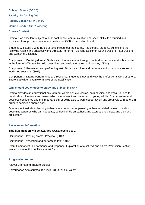**Subject**: Drama (GCSE) **Faculty**: Performing Arts **Faculty Leader**: Mr P Condry **Course Leader**: Mrs Y Wittering **Course Content:**

Drama is an excellent subject to build confidence, communication and social skills. It is studied and examined through three components within the OCR examination board.

Students will study a wide range of texts throughout the course. Additionally, students will explore the following roles in the practical work: Director, Performer, Lighting Designer, Sound Designer, Set Designer, and Costume Designer.

Component 1: Devising drama. Students explore a stimulus through practical workshops and submit notes in the form of a Written Portfolio, describing and evaluating their work journey. (30%)

Component 2: Presenting and performing text. Students explore and perform a script through a series of workshop sessions. (30%)

Component 3: Drama Performance and response. Students study and view the professional work of others. There is a written exam worth 40% of the qualification.

#### **Why should you choose to study this subject in KS4?**

Drama provides an educational environment where self-expression, both physical and vocal, is used to creatively explore texts and issues which are relevant and important to young adults. Drama fosters and develops confidence and the important skill of being able to work cooperatively and creatively with others in order to achieve a shared goal.

Drama is not just about learning to become a performer or perusing a theatre related career. It is about becoming a person who can negotiate, be flexible, be empathetic and express ones ideas and opinions articulately.

#### **Assessment information**

#### **This qualification will be awarded GCSE levels 9 to 1**

Component : Devising drama- Practical. (30%)

Component : Presenting and performing text. (30%)

Exam Component : Performance and response. Exploration of a set text and a Live Production Section. Written exam of the qualification. (40%)

#### **Progression routes**

A level Drama and Theatre Studies

Performance Arts courses at A level, BTEC or equivalent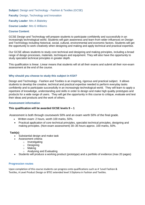**Subject**: Design and Technology - Fashion & Textiles (GCSE) **Faculty: Design, Technology and Innovation Faculty Leader**: Mrs A Blakeley **Course Leader**: Mrs G Williams

# **Course Content**:

GCSE Design and Technology will prepare students to participate confidently and successfully in an increasingly technological world. Students will gain awareness and learn from wider influences on Design and Technology including historical, social, cultural, environmental and economic factors. Students will get the opportunity to work creatively when designing and making and apply technical and practical expertise.

Our GCSE allows students to study core technical and designing and making principles, including a broad range of design processes, materials, techniques and equipment. They will also have the opportunity to study specialist technical principles in greater depth.

This qualification is linear. Linear means that students will sit all their exams and submit all their non-exam assessment at the end of the course.

# **Why should you choose to study this subject in KS4?**

Design and Technology - Fashion and Textiles is an inspiring, rigorous and practical subject. It allows students to develop the creative, technical and practical expertise needed to perform everyday tasks confidently and to participate successfully in an increasingly technological world. They will learn to apply a repertoire of knowledge, understanding and skills in order to design and make high quality prototypes and products for a wide range of users. They will get the opportunity in this course to critique, evaluate and test their ideas and products and the work of others.

#### **Assessment information**

# **This qualification will be awarded GCSE levels 9 – 1**

Assessment is both through coursework 50% and an exam worth 50% of the final grade.

- Written exam: 2 hours, worth 100 marks, 50%.
- Practical application of core technical principles, specialist technical principles, designing and making principles. (Non-exam assessment) 30–35 hours approx. 100 marks, 50%.

#### **Task(s)**

- Substantial design and make task
- Assessment criteria:
	- o Investigating
	- o Designing
	- o Making
	- o Analysing and Evaluating
- Students will produce a working product (prototype) and a portfolio of evidence (max 20 pages)

#### **Progression routes**

Upon completion of this course students can progress onto qualifications such as A 'Level Fashion & Textiles, A Level Product Design or BTEC extended level 3 Diploma in Fashion and Textiles.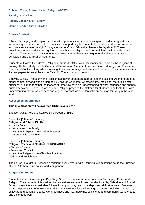**Subject:** Ethics, Philosophy and Religion (GCSE) **Faculty**: Humanities **Faculty Leader**: Mrs N Edney **Course Leader**: Miss C Clayton

# **Course Content:**

Ethics, Philosophy and Religion is a fantastic opportunity for students to explore the deeper questions surrounding existence and truth. It provides the opportunity for students to debate and discuss questions such as 'can war ever be right?', 'why are we here?' and 'should euthanasia be legalised?'. These questions are explored with recognition of how those of religious and non-religious backgrounds would respond. The course enables students to develop their debating technique, oral and written analysis, evaluation and appraisal of arguments.

Students will follow the Edexcel Religious Studies B GCSE with Christianity and Islam as the religions of enquiry. Units of study include Crime and Punishment, Matters of Life and Death, Marriage and Family and Peace and Conflict, alongside an investigation into core religious beliefs and concepts. The course involves 2 exam papers taken at the end of Year 11. There is no coursework.

Studying Ethics, Philosophy and Religion has never been more appropriate and exciting! As members of a global community and with an increasingly diverse workforce; whether in law, medicine, the public sector, business, it is important that the leaders of tomorrow have an understanding of what influences and shapes human behaviour. Ethics, Philosophy and Religion provides the platform for students to cultivate their own understanding of why we are here and why we do what we do – fantastic preparation for living in the wider world

# **Assessment information**

# **This qualification will be awarded GCSE levels 9 to 1**

Edexcel GCSE Religious Studies B Full Course (1RB0)

Paper  $1 = [1 \text{ hour } 45 \text{ minutes}]$ **Religion and Ethics: ISLAM**

- Muslim Beliefs
- Marriage and the Family
- Living the Religious Life (Muslim Practices)
- Matters of Life and Death

Paper  $2 = [1 \text{ hour } 45 \text{ minutes}]$ 

- **Religion, Peace and Conflict: CHRISTIANITY**
- Christian Beliefs
- Peace and Conflict
- Living the Religious Life (Christian Practices)
- Crime and Punishment

The course is taught in 5 lessons a fortnight, over 2 years, with 2 terminal examinations sat in the Summer of Year 11; there is no coursework component.

# **Progression routes**

Students can continue study at Key Stage 5 with our popular A Level course in Philosophy, Ethics and Religion. The course is highly valued by universities and employers, notably listed by Oxbridge and Russell Group universities as a desirable A Level for any course, due to the depth and skillset involved. Moreover, it has the potential to offer excellent skills and awareness for a wide range of careers including journalism, childcare and education, police work, business and law, medicine, social care and community work, charity and diplomatic work.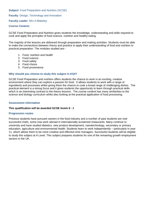**Subject: Food Preparation and Nutrition (GCSE)** 

**Faculty: Design, Technology and Innovation** 

**Faculty Leader**: Mrs A Blakeley

#### **Course Content:**

GCSE Food Preparation and Nutrition gives students the knowledge, understanding and skills required to cook and apply the principles of food science, nutrition and healthy eating.

The majority of the lessons are delivered through preparation and making activities. Students must be able to make the connections between theory and practice to apply their understanding of food and nutrition to practical preparation. The modules studied are:-

- 1. Food, nutrition and health
- 2. Food science
- 3. Food safety
- 4. Food choice
- 5. Food provenance.

#### **Why should you choose to study this subject in KS4?**

GCSE Food Preparation and nutrition offers students the chance to work in an exciting, creative environment where they can explore a passion for food. It allows students to work with a range of ingredients and processes whilst giving them the chance to cook a broad range of challenging dishes. The practical element is a strong focus and it gives students the opportunity to learn through practical skills which is an interesting contrast to the theory lessons. The course content has many similarities to the science and biology curriculum whilst also looking at the practical application of food processing.

#### **Assessment information**

#### **This qualification will be awarded GCSE levels 9 - 1**

#### **Progression routes**

Previous students have pursued careers in the food industry and a number of past students are now successful chefs, some now work abroad in internationally acclaimed restaurants. Many continue to university and have studied dietetics, new product development, nanotechnology, secondary or primary education, agriculture and environmental health. Students learn to work independently – particularly in year 11, which allows them to be more creative and effective time managers. Successful students will be eligible to study this subject at A Level. This subject prepares students for one of the remaining growth employment sectors in the UK.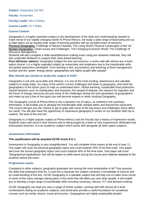**Subject**: Geography (GCSE)

**Faculty**: Humanities

**Faculty Leader**: Mrs N Edney

**Course Leader**: Dr T Watts

# **Course Content:**

Geography is a hugely important subject in the development of the skills and understanding needed to make sense of our rapidly changing world! At Prince Henry's, we study a wide range of fascinating and upto-date topics via an equally wide range of learning activities with an excellent team of teachers: **Physical Geography:** Challenge of Natural Hazards; The Living World; Physical Landscapes of the UK. **Human Geography:** Urban Issues and Challenges; The Changing Economic World; The Challenge of Resource Management.

Students will also complete a skills-based/decision-making exam using pre-released materials, they will also undertake fieldwork to support their class-based learning.

**Post-16/Career options:** Geography bridges the arts and sciences, it works well with almost any A level option choice! It is a highly regarded subject by universities and employers due to the transferable skills and global awareness developed. From working in law, accountancy and teaching to flood management, tourism and the 'green' energy sector, geographers are highly sought after people!

# **Why should you choose to study this subject in KS4?**

Geography is not only up-to-date and relevant, it is one of the most exciting, adventurous and valuable subjects to study today. So many of the world's current challenges boil down to geography, and need the geographers of the future (you!) to help us understand them. Global warming, sustainable food production, natural disasters such as earthquakes and tsunamis, the spread of disease, the reasons for migration and the future of energy resources are just some of the challenges facing the next generation of geographers and make up just a few of the topics you will become experts in when studying Geography.

The Geography course at Prince Henry's has a dynamic mix of topics, as outlined in the summary information. It will enable you to develop the transferable skills needed within and beyond the classroom. The course will give you the chance to get to grips with some of the big issues and challenges which affect our world. You will also have the opportunity to experience geography in action on our fantastic field trip to Iceland, 'the land of fire and ice'!

Geography is a highly popular subject at Prince Henry's and the Faculty has a history of impressive results. Students enjoy and excel in their lessons due to being taught by a team of very experienced, dedicated and enthusiastic teachers. It is an academic subject which works well alongside all other option subjects.

# **Assessment information**

# **This qualification will be awarded GCSE levels 9 to 1**

Assessment in Geography is very straightforward. You will complete three exams at the end of year 11. One paper will cover the physical geography topics and count towards 40% of the final mark. One paper will cover the human geography topics and count towards 40% of the final mark. One paper will cover 'Geographical Applications' and will be based on skills learnt during the course and material released to the students before the exam.

# **Progression routes**

Compared to other subjects, geography graduates are among the most employable of all! They possess the skills that employers look for. In part this is because the subject combines a knowledge of science and an understanding of the arts. GCSE Geography is a valuable subject that will help you to make more sense of some of the many changes taking place in the world that will affect you and other people. It will enable you to develop a huge range of transferable skills including numeracy, literacy, ICT and decision-making.

GCSE Geography can lead you onto a range of further studies, working well with almost all A level combinations (being an academic subject), and would also provide a useful foundation for vocational courses such as media, leisure, travel and tourism. Geographers are highly employable people!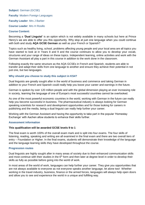**Subject**: German (GCSE) **Faculty: Modern Foreign Languages Faculty Leader**: Mrs J Barber **Course Leader**: Mrs H Rosillo

# **Course Content:**

Becoming a **'Dual Linguist'** is an option which is not widely available in many schools but here at Prince Henry's we are able to offer you this opportunity. Why stop at just one language when you could continue with both and study **AQA GCSE German** as well as your French or Spanish?

Topics such as healthy living, school, problems affecting young people and your local area are all topics you have started to look at in Years 8 and 9 and the course continues to allow you to develop your vocab, structures and your range of ideas on these topics. Independent learning, online activities and work with the German Assistant all play a part in this course in addition to the work done in the classroom.

Following exactly the same structure as the AQA GCSEs in French and Spanish, students are able to transfer and adapt their skills from one language to another and ensure they achieve their potential in not just one, but two languages.

# **Why should you choose to study this subject in KS4?**

Dual linguists are greatly sought after in the world of business and commerce and taking German in addition to your French and Spanish could really help you boost your career and earnings in the future.

German is spoken by over 120 million people and with the global dimension playing an ever increasing role in society, learning the language of one of Europe's most successful countries cannot be overlooked.

As one of the most powerful economic countries in the world, working with German in the future can really help you become successful in business. The pharmaceutical industry is always looking for German speaking scientists for research and development opportunities and for those looking for careers in publishing and the media, being a dual linguist can really help further your career.

Working with the German Assistant and having the opportunity to take part in the popular 'Homestay Exchange' with Aachen allow students to enhance their skills further.

# **Assessment information**

# **This qualification will be awarded GCSE levels 9 to 1**

The final exam is worth 100% of the overall exam mark and is split into four exams. The four skills of listening, reading, speaking and writing are all examined in the final exam and there are two overall tiers of entry – Foundation or Higher. In the final exams, students will demonstrate their knowledge of the language and the language learning skills they have developed throughout the course.

# **Progression routes**

Dual linguists are highly sought after in many areas of society due to their enhanced communication skills and most continue with their studies in the  $6<sup>th</sup>$  form and then later at degree level in order to develop their skills as fully as possible before going into the world of work.

In most areas of the world of work, languages can help further your career. They give you opportunities that are not always available to everyone as not everyone speaks another language, let alone two! Whether working in the travel industry, business, finance or the armed forces, languages will always help open doors and allow you to see and experience the world in a unique and fulfilling way.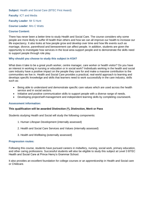**Subject**: Health and Social Care (BTEC First Award) **Faculty**: ICT and Media **Faculty Leader**: Mr S Hunt **Course Leader**: Mrs C Watts **Course Content:**

There has never been a better time to study Health and Social Care. The course considers why some people are more likely to suffer ill health than others and how we can all improve our health to increase our life expectancy. It also looks at how people grow and develop over time and how life events such as marriage, divorce, parenthood and bereavement can affect people. In addition, students are given the opportunity to investigate how services in the local area support people and to demonstrate the skills need to support people through role play.

# **Why should you choose to study this subject in KS4?**

What does it take to be a great youth worker, centre manager, care worker or health visitor? Do you have an interest in working in nursing or education or in social work? Individuals working in the health and social care industry have a positive impact on the people they care for and make a massive contribution to the communities we live in. Health and Social Care provides a practical, real-world approach to learning and develops specific knowledge and skills that learners need to work successfully in the care industry, skills such as:

- Being able to understand and demonstrate specific care values which are used across the health service and in social sectors.
- Initiative and positive communication skills to support people with a diverse range of needs.
- Developing project/self-management and independent learning skills by completing coursework.

# **Assessment information:**

# **This qualification will be awarded Distinction (\*), Distinction, Merit or Pass**

Students studying Health and Social will study the following components:

- 1. Human Lifespan Development (internally assessed)
- 2. Health and Social Care Services and Values (internally assessed)
- 3. Health and Wellbeing (externally assessed)

#### **Progression routes:**

Following this course, students have pursued careers in midwifery, nursing, social work, primary education, and other caring professions. Successful students will also be eligible to study this subject at Level 3 BTEC Health and Social Care at Prince Henry's Grammar School.

It also provides an excellent foundation for college courses or an apprenticeship in Health and Social care or Childcare.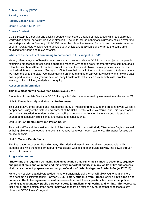**Subject**: History (GCSE) **Faculty**: History **Faculty Leader**: Mrs N Edney **Course Leader:** Mr P Low

# **Course Content:**

GCSE History is a popular and exciting course which covers a range of topic areas which are extremely worthwhile and will certainly grab your attention. The units include a thematic study of Medicine over time and a depth study on Germany 1919-1939 under the rule of the Weimar Republic and the Nazis. In terms of skills, GCSE History helps you to develop your critical and analytical skills whilst at the same time studying fascinating and relevant topics.

# **What are the benefits of continuing to participate in this subject in KS4?**

History offers a myriad of benefits for those who choose to study it at GCSE. It is a subject about people, examining emotions that tear people apart and reasons why people work together towards common goals. It teaches us about different countries, societies and cultures and allows us to appreciate lives that are markedly different to our own. Today's conflicts have their roots in the past, to understand today's society we have to look at the past. Alongside gaining an understanding of 21<sup>st</sup> Century society and how the past has helped to shape this, you will develop many transferable skills, such as research skills, problem solving, critical thinking, analysis and enquiry.

# **Assessment information**

# **This qualification will be awarded GCSE levels 9 to 1**

Students will complete 3 units in GCSE History all of which are assessed by examination at the end of Y11.

# **Unit 1: Thematic study and Historic Environment**

This unit is 30% of the course and includes the study of Medicine from 1250 to the present day as well as a deeper case study of the historic environment of the British sector of the Western Front. This paper focus on students' knowledge, understanding and ability to answer questions on historical concepts such as change and continuity, significance and cause and consequence.

# **Unit 2: British Depth Study and Period Study**

This unit is 40% and the most important of the three units. Students will study Elizabethan England as well as being able to piece together the events that have led to our modern existence. This paper focuses on source analysis.

# **Unit 3: Modern Depth Study**

The final paper focuses on Nazi Germany. This tried and tested unit has always been popular with students, allowing them to learn about how a dictator was able to manipulate his way into power through democratic means.

# **Progression routes**

**"Historians are regarded as having had an education that trains their minds to assemble, organise and present facts and opinions and this a very important quality in many walks of life and careers. History is excellent preparation for many professions" (Which Magazine? Which Subject? 2011).**

History is a subject that delivers a wide range of transferable skills which will allow you to do a lot more than become a History teacher! **Former GCSE History students from Prince Henry's have gone on to careers in the following areas: scientific research, armed forces, politics, law, medicine, police, banking & accountancy, public services, sports journalism, engineering and writing.** This represents just a small cross-section of the career pathways that are on offer to any student that chooses to study History at GCSE Level & beyond!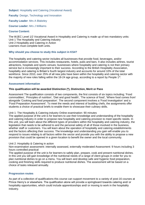**Subject:** Hospitality and Catering (Vocational Award)

**Faculty: Design, Technology and Innovation** 

**Faculty Leader**: Mrs A Blakeley

**Course Leader:** Mrs J Williams

#### **Course Content:**

The WJEC Level 1/2 Vocational Award in Hospitality and Catering is made up of two mandatory units: Unit 1 The Hospitality and Catering Industry Unit 2 Hospitality and Catering in Action Learners must complete both units.

# **Why should you choose to study this subject in KS4?**

The hospitality and catering sector includes all businesses that provide food, beverages, and/or accommodation services. This includes restaurants, hotels, pubs and bars. It also includes airlines, tourist attractions, hospitals and sports venues; businesses where hospitality and catering is not their primary service but is increasingly important to their success. According to the British Hospitality Association, hospitality and catering is Britain's fourth largest industry and accounts for around 10% of the total workforce. Since 2010, over 25% of all new jobs have been within the hospitality and catering sector with the majority of new roles falling within the 18-24 age group, according to a report by People  $1<sup>st</sup>$ .

#### **Assessment information**

# **This qualification will be awarded Distinction (\*), Distinction, Merit or Pass**

Assessment The qualification consists of two components, the first consists of six topics including; 'Food commodities', 'Principles of nutrition', 'Diet and good health', 'The science of food', 'Where food comes from' alongside 'Cooking and food preparation'. The second component involves a 'Food Investigation' and a 'Food Preparation Assessment'. To meet the needs and interest of budding chefs, the assignments offer students a choice of practical briefs to enable them to showcase their culinary skills.

#### Unit 1: The Hospitality & Catering industry Online examination: 90 minutes

The applied purpose of the unit is for learners to use their knowledge and understanding of the hospitality and catering industry in order to propose new hospitality and catering provision to meet specific needs. In this unit, you will learn about the different types of providers within the hospitality and catering industry, the legislation that needs to be adhered to and the personal safety of all of those involved in the business, whether staff or customers. You will learn about the operation of hospitality and catering establishments and the factors affecting their success. The knowledge and understanding you gain will enable you to respond to issues relating to all factors within the sector and provide you with the ability to propose a new provision that could be opened in a given location to benefit the owner and the local community.

#### Unit 2: Hospitality & Catering in action

Non-examination assessment: internally assessed, externally moderated Assessment: 9 hours including 3 hours controlled practical

The applied purpose of the unit is for learners to safely plan, prepare, cook and present nutritional dishes. In this unit you will gain knowledge of the nutritional needs of a range of client groups in order for you to plan nutritional dishes to go on a menu. You will learn and develop safe and hygienic food preparation, cooking and finishing skills required to produce nutritional dishes. The assessment will be based on a choice of tasks released annually.

# **Progression routes**

As part of a collection of qualifications this course can support movement to a variety of post-16 courses at Prince Henry's or elsewhere. The qualification alone will provide a springboard towards catering and/ or hospitality opportunities, which could include apprenticeships and/ or moving to work in the hospitality industry.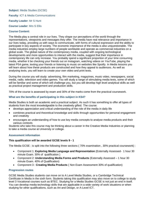**Subject**: Media Studies (GCSE) **Faculty**: ICT & Media Communications **Faculty Leader**: Mr S Hunt **Course Leader**: Mrs S Ellis **Course Content:**

The Media play a central role in our lives. They shape our perceptions of the world through the representations, viewpoints and messages they offer. The media have real relevance and importance in our lives today, providing us with ways to communicate, with forms of cultural expression and the ability to participate in key aspects of society. The economic importance of the media is also unquestionable. The media industries employ large numbers of people worldwide and operate as commercial industries on a global scale. The global nature of the contemporary media, coupled with ongoing technological developments and more opportunities to interact with the media, suggest that their importance in contemporary life can only increase. You probably spend a significant proportion of your time consuming media, whether it be checking your friends out on Instagram, watching videos on YouTube, playing the latest PS4 game, texting your friends or listening to music on websites like Spotify. In Media lessons you will learn about how these products are constructed and how they appeal to audiences. As well as analysing texts, you will learn to create your own video and print texts.

During the course you will study: advertising, film marketing, magazines, music video, newspapers, social media, radio, television and video games. You will study a range of stimulating media texts, some of which will be familiar and some of which will challenge you, but you will develop high level analytical skills as well as practical project management and production skills.

70% of the course is assessed by exam and 30% of the marks come from the practical coursework.

# **What are the benefits of participating in this subject in KS4?**

Media Studies is both an academic and a practical subject. As such it has something to offer all types of students from the most knowledgeable to the creatively gifted. The course:

- develops appreciation and critical understanding of the role of the media in daily life
- combines practical and theoretical knowledge and skills through opportunities for personal engagement and creativity
- encourages an understanding of how to use key media concepts to analyse media products and their various contexts

Students who take this course may be thinking about a career in the Creative Media Industries or planning to take a media course at University or college.

# **Assessment information**

# **This qualification will be awarded GCSE levels 9 - 1**

The Media GCSE : is split into the following three sections ( 70% examination , 30% practical coursework) :

- Component 1: **Exploring Media Language and Representation** (Externally Assessed- 1 hour 30 minute Exam. 30% of qualification )
- Component 2: **Understanding Media Forms and Products** (Externally Assessed 1 hour 30 minute Exam. 40% of Qualification)
- Component 3 : **Creating Media Products** ( Non Exam Assessment 30% of qualification)

# **Progression routes**

GCSE Media Studies students can move on to A Level Media Studies, or a Cambridge Technical Certificate in Media in the sixth form. Students taking this qualification may also move on to college to study level 3 Vocational courses such as BTEC. Studying for a Media Studies GCSE is not just an end in itself. You can develop media technology skills that are applicable in a wide variety of work situations or when studying for other qualifications, such as Art and Design, or A-Level ICT.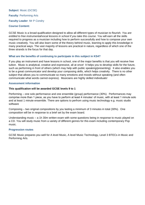**Subject**: Music (GCSE) **Faculty**: Performing Arts **Faculty Leader**: Mr P Condry **Course Content:** 

GCSE Music is a broad qualification designed to allow all different types of musician to flourish. *You are entitled to free instrumental/vocal lessons in school if you take this course*. You will earn all the skills required to progress as a musician including how to perform successfully and how to compose your own music creatively. You will also learn some of the theory behind music, learning to apply this knowledge in many practical ways. The vast majority of lessons are practical in nature, regardless of which one of the three strands is the focus for that day.

# **What are the benefits of continuing to participate in this subject in KS4?**

If you play an instrument and have lessons in school, one of the major benefits is that you will receive free tuition. Music is analytical, creative and expressive, all at once! It helps you to develop skills for the future, such as performing in front of others (which may help with public speaking/presenting). It also enables you to be a great communicator and develop your composing skills, which helps creativity. There is no other subject that allows you to communicate so many emotions and moods without speaking (and often communicate what words cannot express). Musicians are highly skilled individuals!

# **Assessment information**

# **This qualification will be awarded GCSE levels 9 to 1**

Performing – one solo performance and one ensemble (group) performance (30%). Performances may comprise more than 1 piece, as you have to perform at least 4 minutes' of music, with at least 1 minute solo and at least 1 minute ensemble. There are options to perfrom using music technology e.g. music studio software

Composing – two original compositions by you lasting a minimum of 3 minutes in total (30%). One composition will be in response to a brief set by the exam board.

Understanding music – a 1h 30m written exam with some questions being in response to music played on a CD. You will study music from a variety of different genres for this exam including contemporary Pop music.

# **Progression routes**

GCSE Music prepares you well for A level Music, A level Music Technology, Level 3 BTECs in Music and Performing Arts.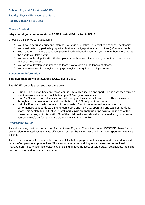**Subject**: Physical Education (GCSE)

**Faculty: Physical Education and Sport** 

**Faculty Leader**: Mr D Curtis

# **Course Content:**

# **Why should you choose to study GCSE Physical Education in KS4?**

Choose GCSE Physical Education if:

- $\checkmark$  You have a genuine ability and interest in a range of practical PE activities and theoretical topics
- $\checkmark$  You must be taking part in high quality physical activity/sport in your own time (in/out of school).
- $\checkmark$  You want to learn more about how physical activity benefits you and you want to become better at the sports you take part in.
- $\checkmark$  You want to develop life skills that employers really value. It improves your ability to coach, lead and supervise people.
- $\checkmark$  You want to develop your fitness and learn how to develop the fitness of others.
- $\checkmark$  You are interested in biological and psychological theory in a sporting context.

# **Assessment information**

# **This qualification will be awarded GCSE levels 9 to 1**

The GCSE course is assessed over three units.

- **Unit 1** The Human body and movement in physical education and sport. This is assessed through a written examination and contributes up to 30% of your total marks.
- **Unit 2** Socio-cultural influences and well-being in physical activity and sport. This is assessed through a written examination and contributes up to 30% of your total marks.
- **Unit 3 – Practical performance in three sports**. You will be assessed in your practical performances as a participant in one team sport, one individual sport and one team or individual sport. This contributes 30% of your total marks, plus an **analysis of performance** in one of the chosen activities, which is worth 10% of the total marks and should include analysing your own or someone else's performance and planning way to improve this.

# **Progression routes**

As well as being the ideal preparation for the A level Physical Education course, GCSE PE allows for the progression to related vocational qualifications such as the BTEC National in Sport or Sport and Exercise **Science** 

The course develops the transferable and key skills that employers are looking for and can lead to a wide variety of employment opportunities. This can include further training in such areas as recreational management, leisure activities, coaching, officiating, fitness industry, physiotherapy, psychology, medicine, nutrition, the armed forces and civil service.